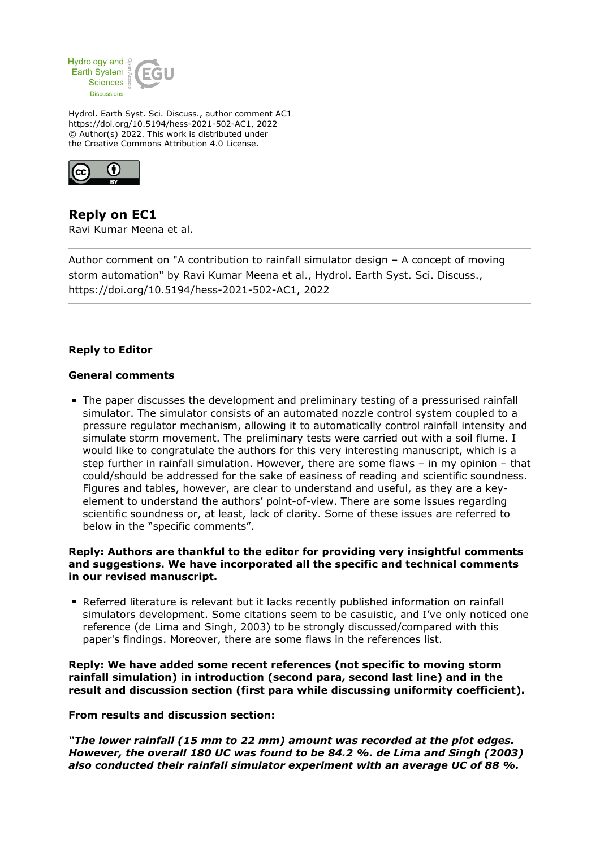

Hydrol. Earth Syst. Sci. Discuss., author comment AC1 https://doi.org/10.5194/hess-2021-502-AC1, 2022 © Author(s) 2022. This work is distributed under the Creative Commons Attribution 4.0 License.



**Reply on EC1** Ravi Kumar Meena et al.

Author comment on "A contribution to rainfall simulator design – A concept of moving storm automation" by Ravi Kumar Meena et al., Hydrol. Earth Syst. Sci. Discuss., https://doi.org/10.5194/hess-2021-502-AC1, 2022

## **Reply to Editor**

#### **General comments**

The paper discusses the development and preliminary testing of a pressurised rainfall simulator. The simulator consists of an automated nozzle control system coupled to a pressure regulator mechanism, allowing it to automatically control rainfall intensity and simulate storm movement. The preliminary tests were carried out with a soil flume. I would like to congratulate the authors for this very interesting manuscript, which is a step further in rainfall simulation. However, there are some flaws – in my opinion – that could/should be addressed for the sake of easiness of reading and scientific soundness. Figures and tables, however, are clear to understand and useful, as they are a keyelement to understand the authors' point-of-view. There are some issues regarding scientific soundness or, at least, lack of clarity. Some of these issues are referred to below in the "specific comments".

## **Reply: Authors are thankful to the editor for providing very insightful comments and suggestions. We have incorporated all the specific and technical comments in our revised manuscript.**

Referred literature is relevant but it lacks recently published information on rainfall simulators development. Some citations seem to be casuistic, and I've only noticed one reference (de Lima and Singh, 2003) to be strongly discussed/compared with this paper's findings. Moreover, there are some flaws in the references list.

**Reply: We have added some recent references (not specific to moving storm rainfall simulation) in introduction (second para, second last line) and in the result and discussion section (first para while discussing uniformity coefficient).**

**From results and discussion section:**

*"The lower rainfall (15 mm to 22 mm) amount was recorded at the plot edges. However, the overall 180 UC was found to be 84.2 %. de Lima and Singh (2003) also conducted their rainfall simulator experiment with an average UC of 88 %.*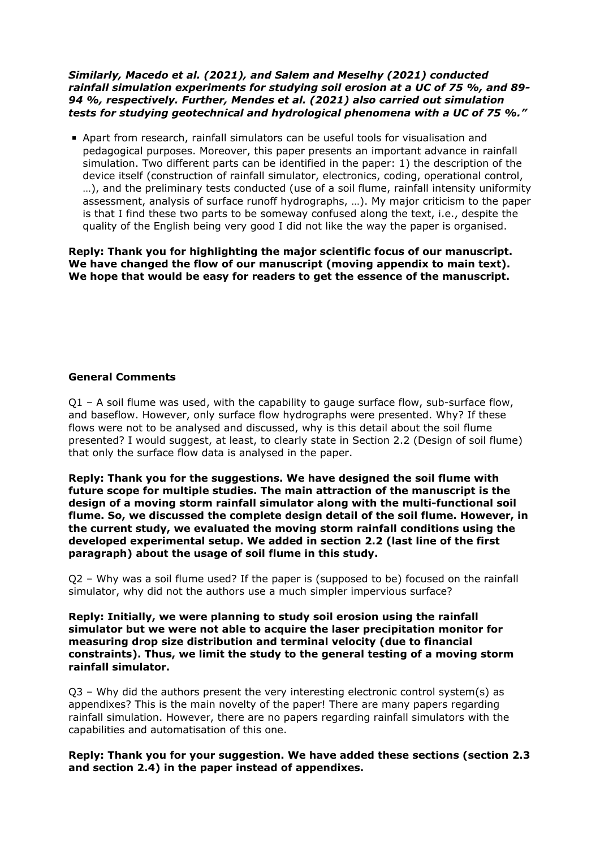### *Similarly, Macedo et al. (2021), and Salem and Meselhy (2021) conducted rainfall simulation experiments for studying soil erosion at a UC of 75 %, and 89- 94 %, respectively. Further, Mendes et al. (2021) also carried out simulation tests for studying geotechnical and hydrological phenomena with a UC of 75 %."*

Apart from research, rainfall simulators can be useful tools for visualisation and pedagogical purposes. Moreover, this paper presents an important advance in rainfall simulation. Two different parts can be identified in the paper: 1) the description of the device itself (construction of rainfall simulator, electronics, coding, operational control, …), and the preliminary tests conducted (use of a soil flume, rainfall intensity uniformity assessment, analysis of surface runoff hydrographs, …). My major criticism to the paper is that I find these two parts to be someway confused along the text, i.e., despite the quality of the English being very good I did not like the way the paper is organised.

**Reply: Thank you for highlighting the major scientific focus of our manuscript. We have changed the flow of our manuscript (moving appendix to main text). We hope that would be easy for readers to get the essence of the manuscript.** 

## **General Comments**

Q1 – A soil flume was used, with the capability to gauge surface flow, sub-surface flow, and baseflow. However, only surface flow hydrographs were presented. Why? If these flows were not to be analysed and discussed, why is this detail about the soil flume presented? I would suggest, at least, to clearly state in Section 2.2 (Design of soil flume) that only the surface flow data is analysed in the paper.

**Reply: Thank you for the suggestions. We have designed the soil flume with future scope for multiple studies. The main attraction of the manuscript is the design of a moving storm rainfall simulator along with the multi-functional soil flume. So, we discussed the complete design detail of the soil flume. However, in the current study, we evaluated the moving storm rainfall conditions using the developed experimental setup. We added in section 2.2 (last line of the first paragraph) about the usage of soil flume in this study.** 

Q2 – Why was a soil flume used? If the paper is (supposed to be) focused on the rainfall simulator, why did not the authors use a much simpler impervious surface?

**Reply: Initially, we were planning to study soil erosion using the rainfall simulator but we were not able to acquire the laser precipitation monitor for measuring drop size distribution and terminal velocity (due to financial constraints). Thus, we limit the study to the general testing of a moving storm rainfall simulator.** 

 $Q3$  – Why did the authors present the very interesting electronic control system(s) as appendixes? This is the main novelty of the paper! There are many papers regarding rainfall simulation. However, there are no papers regarding rainfall simulators with the capabilities and automatisation of this one.

**Reply: Thank you for your suggestion. We have added these sections (section 2.3 and section 2.4) in the paper instead of appendixes.**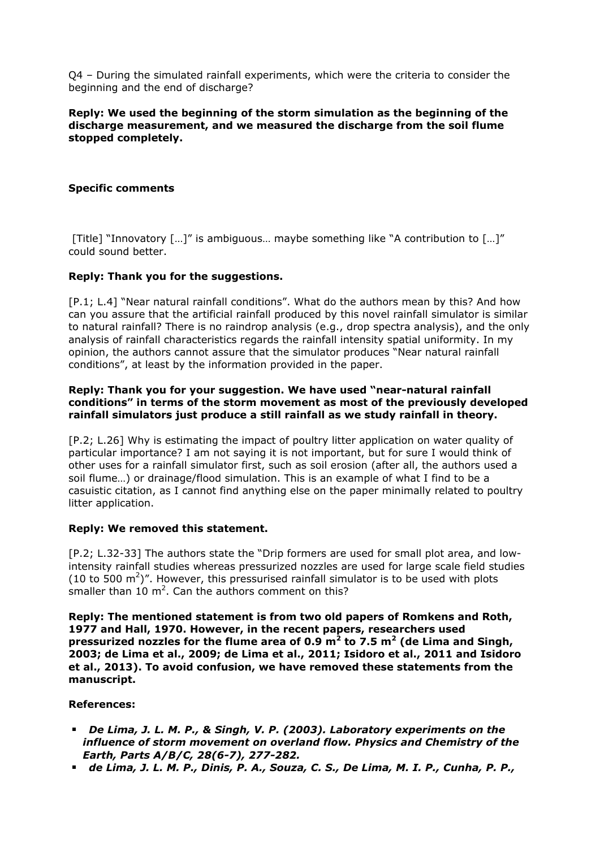Q4 – During the simulated rainfall experiments, which were the criteria to consider the beginning and the end of discharge?

## **Reply: We used the beginning of the storm simulation as the beginning of the discharge measurement, and we measured the discharge from the soil flume stopped completely.**

## **Specific comments**

[Title] "Innovatory […]" is ambiguous… maybe something like "A contribution to […]" could sound better.

#### **Reply: Thank you for the suggestions.**

[P.1; L.4] "Near natural rainfall conditions". What do the authors mean by this? And how can you assure that the artificial rainfall produced by this novel rainfall simulator is similar to natural rainfall? There is no raindrop analysis (e.g., drop spectra analysis), and the only analysis of rainfall characteristics regards the rainfall intensity spatial uniformity. In my opinion, the authors cannot assure that the simulator produces "Near natural rainfall conditions", at least by the information provided in the paper.

### **Reply: Thank you for your suggestion. We have used "near-natural rainfall conditions" in terms of the storm movement as most of the previously developed rainfall simulators just produce a still rainfall as we study rainfall in theory.**

[P.2; L.26] Why is estimating the impact of poultry litter application on water quality of particular importance? I am not saying it is not important, but for sure I would think of other uses for a rainfall simulator first, such as soil erosion (after all, the authors used a soil flume…) or drainage/flood simulation. This is an example of what I find to be a casuistic citation, as I cannot find anything else on the paper minimally related to poultry litter application.

#### **Reply: We removed this statement.**

[P.2; L.32-33] The authors state the "Drip formers are used for small plot area, and lowintensity rainfall studies whereas pressurized nozzles are used for large scale field studies (10 to 500  $\text{m}^2$ )". However, this pressurised rainfall simulator is to be used with plots smaller than  $10 \text{ m}^2$ . Can the authors comment on this?

**Reply: The mentioned statement is from two old papers of Romkens and Roth, 1977 and Hall, 1970. However, in the recent papers, researchers used pressurized nozzles for the flume area of 0.9 m<sup>2</sup> to 7.5 m<sup>2</sup> (de Lima and Singh, 2003; de Lima et al., 2009; de Lima et al., 2011; Isidoro et al., 2011 and Isidoro et al., 2013). To avoid confusion, we have removed these statements from the manuscript.** 

#### **References:**

- *De Lima, J. L. M. P., & Singh, V. P. (2003). Laboratory experiments on the influence of storm movement on overland flow. Physics and Chemistry of the Earth, Parts A/B/C, 28(6-7), 277-282.*
- *de Lima, J. L. M. P., Dinis, P. A., Souza, C. S., De Lima, M. I. P., Cunha, P. P.,*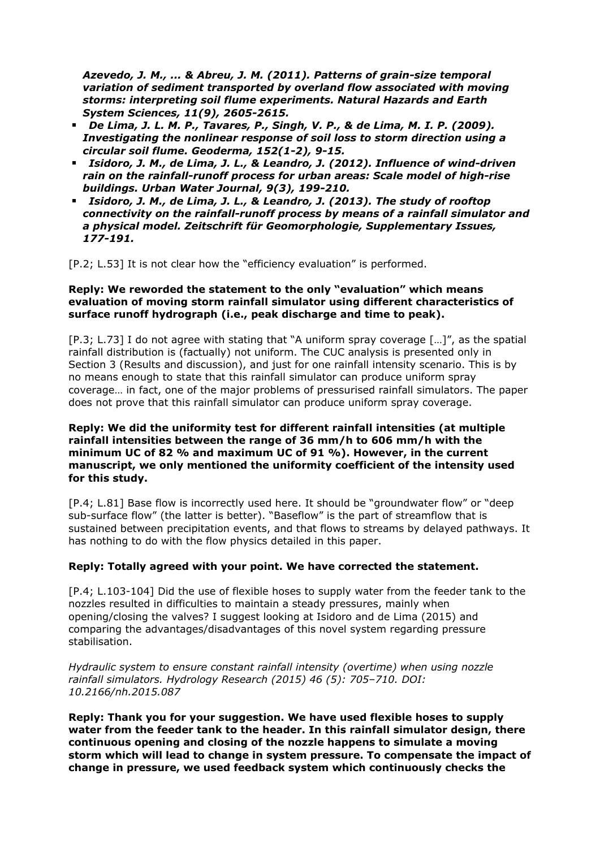*Azevedo, J. M., ... & Abreu, J. M. (2011). Patterns of grain-size temporal variation of sediment transported by overland flow associated with moving storms: interpreting soil flume experiments. Natural Hazards and Earth System Sciences, 11(9), 2605-2615.*

- *De Lima, J. L. M. P., Tavares, P., Singh, V. P., & de Lima, M. I. P. (2009). Investigating the nonlinear response of soil loss to storm direction using a circular soil flume. Geoderma, 152(1-2), 9-15.*
- *Isidoro, J. M., de Lima, J. L., & Leandro, J. (2012). Influence of wind-driven rain on the rainfall-runoff process for urban areas: Scale model of high-rise buildings. Urban Water Journal, 9(3), 199-210.*
- *Isidoro, J. M., de Lima, J. L., & Leandro, J. (2013). The study of rooftop connectivity on the rainfall-runoff process by means of a rainfall simulator and a physical model. Zeitschrift für Geomorphologie, Supplementary Issues, 177-191.*

[P.2; L.53] It is not clear how the "efficiency evaluation" is performed.

### **Reply: We reworded the statement to the only "evaluation" which means evaluation of moving storm rainfall simulator using different characteristics of surface runoff hydrograph (i.e., peak discharge and time to peak).**

[P.3; L.73] I do not agree with stating that "A uniform spray coverage […]", as the spatial rainfall distribution is (factually) not uniform. The CUC analysis is presented only in Section 3 (Results and discussion), and just for one rainfall intensity scenario. This is by no means enough to state that this rainfall simulator can produce uniform spray coverage… in fact, one of the major problems of pressurised rainfall simulators. The paper does not prove that this rainfall simulator can produce uniform spray coverage.

## **Reply: We did the uniformity test for different rainfall intensities (at multiple rainfall intensities between the range of 36 mm/h to 606 mm/h with the minimum UC of 82 % and maximum UC of 91 %). However, in the current manuscript, we only mentioned the uniformity coefficient of the intensity used for this study.**

[P.4; L.81] Base flow is incorrectly used here. It should be "groundwater flow" or "deep sub-surface flow" (the latter is better). "Baseflow" is the part of streamflow that is sustained between precipitation events, and that flows to streams by delayed pathways. It has nothing to do with the flow physics detailed in this paper.

# **Reply: Totally agreed with your point. We have corrected the statement.**

[P.4; L.103-104] Did the use of flexible hoses to supply water from the feeder tank to the nozzles resulted in difficulties to maintain a steady pressures, mainly when opening/closing the valves? I suggest looking at Isidoro and de Lima (2015) and comparing the advantages/disadvantages of this novel system regarding pressure stabilisation.

*Hydraulic system to ensure constant rainfall intensity (overtime) when using nozzle rainfall simulators. Hydrology Research (2015) 46 (5): 705–710. DOI: 10.2166/nh.2015.087*

**Reply: Thank you for your suggestion. We have used flexible hoses to supply water from the feeder tank to the header. In this rainfall simulator design, there continuous opening and closing of the nozzle happens to simulate a moving storm which will lead to change in system pressure. To compensate the impact of change in pressure, we used feedback system which continuously checks the**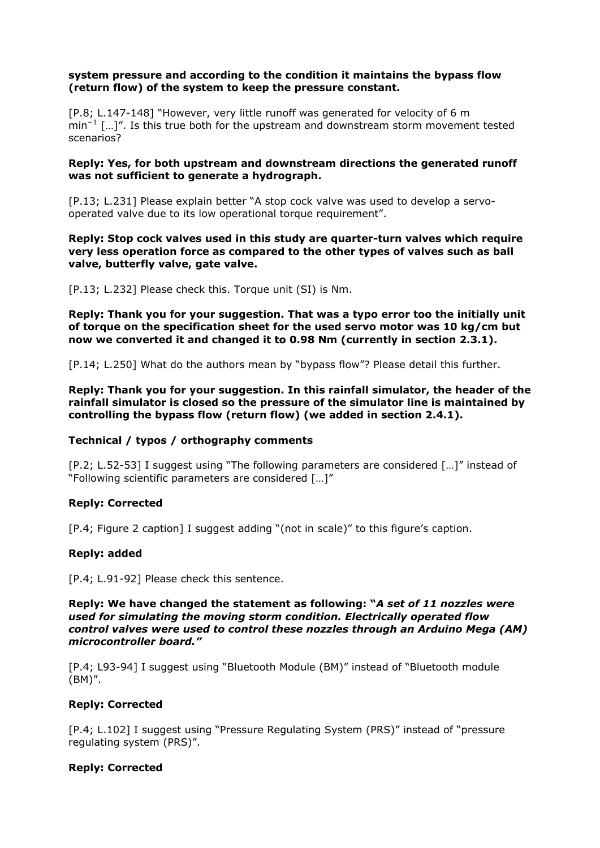## **system pressure and according to the condition it maintains the bypass flow (return flow) of the system to keep the pressure constant.**

[P.8; L.147-148] "However, very little runoff was generated for velocity of 6 m min<sup>-1</sup> […]". Is this true both for the upstream and downstream storm movement tested scenarios?

## **Reply: Yes, for both upstream and downstream directions the generated runoff was not sufficient to generate a hydrograph.**

[P.13; L.231] Please explain better "A stop cock valve was used to develop a servooperated valve due to its low operational torque requirement".

### **Reply: Stop cock valves used in this study are quarter-turn valves which require very less operation force as compared to the other types of valves such as ball valve, butterfly valve, gate valve.**

[P.13; L.232] Please check this. Torque unit (SI) is Nm.

**Reply: Thank you for your suggestion. That was a typo error too the initially unit of torque on the specification sheet for the used servo motor was 10 kg/cm but now we converted it and changed it to 0.98 Nm (currently in section 2.3.1).** 

[P.14; L.250] What do the authors mean by "bypass flow"? Please detail this further.

**Reply: Thank you for your suggestion. In this rainfall simulator, the header of the rainfall simulator is closed so the pressure of the simulator line is maintained by controlling the bypass flow (return flow) (we added in section 2.4.1).** 

# **Technical / typos / orthography comments**

[P.2; L.52-53] I suggest using "The following parameters are considered […]" instead of "Following scientific parameters are considered […]"

# **Reply: Corrected**

[P.4; Figure 2 caption] I suggest adding "(not in scale)" to this figure's caption.

# **Reply: added**

[P.4; L.91-92] Please check this sentence.

#### **Reply: We have changed the statement as following: "***A set of 11 nozzles were used for simulating the moving storm condition. Electrically operated flow control valves were used to control these nozzles through an Arduino Mega (AM) microcontroller board."*

[P.4; L93-94] I suggest using "Bluetooth Module (BM)" instead of "Bluetooth module (BM)".

# **Reply: Corrected**

[P.4; L.102] I suggest using "Pressure Regulating System (PRS)" instead of "pressure regulating system (PRS)".

# **Reply: Corrected**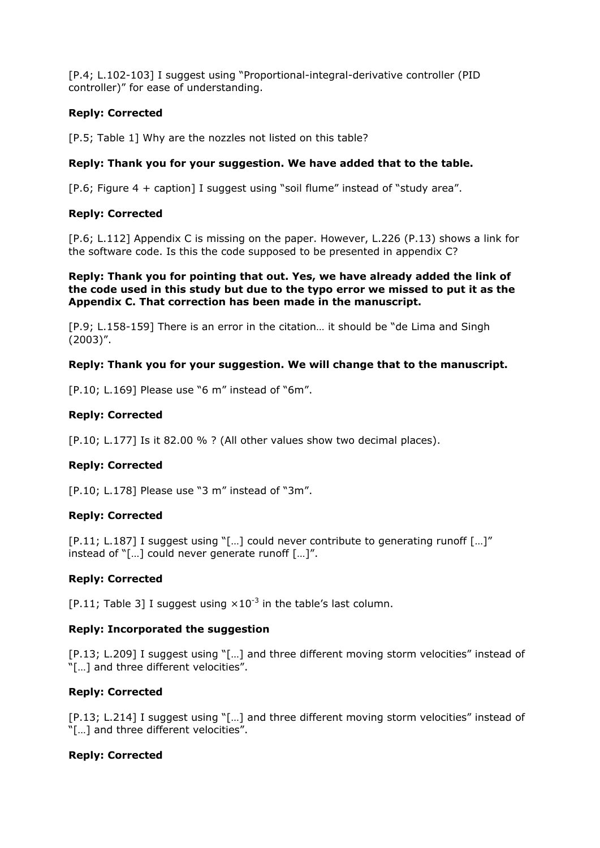[P.4; L.102-103] I suggest using "Proportional-integral-derivative controller (PID controller)" for ease of understanding.

# **Reply: Corrected**

[P.5; Table 1] Why are the nozzles not listed on this table?

## **Reply: Thank you for your suggestion. We have added that to the table.**

[P.6; Figure 4 + caption] I suggest using "soil flume" instead of "study area".

## **Reply: Corrected**

[P.6; L.112] Appendix C is missing on the paper. However, L.226 (P.13) shows a link for the software code. Is this the code supposed to be presented in appendix C?

**Reply: Thank you for pointing that out. Yes, we have already added the link of the code used in this study but due to the typo error we missed to put it as the Appendix C. That correction has been made in the manuscript.**

[P.9; L.158-159] There is an error in the citation… it should be "de Lima and Singh (2003)".

#### **Reply: Thank you for your suggestion. We will change that to the manuscript.**

[P.10; L.169] Please use "6 m" instead of "6m".

## **Reply: Corrected**

[P.10; L.177] Is it 82.00 % ? (All other values show two decimal places).

# **Reply: Corrected**

[P.10; L.178] Please use "3 m" instead of "3m".

# **Reply: Corrected**

[P.11; L.187] I suggest using "[…] could never contribute to generating runoff […]" instead of "[…] could never generate runoff […]".

# **Reply: Corrected**

[P.11; Table 3] I suggest using  $\times 10^{-3}$  in the table's last column.

# **Reply: Incorporated the suggestion**

[P.13; L.209] I suggest using "[…] and three different moving storm velocities" instead of "[…] and three different velocities".

# **Reply: Corrected**

[P.13; L.214] I suggest using "[…] and three different moving storm velocities" instead of "[…] and three different velocities".

#### **Reply: Corrected**